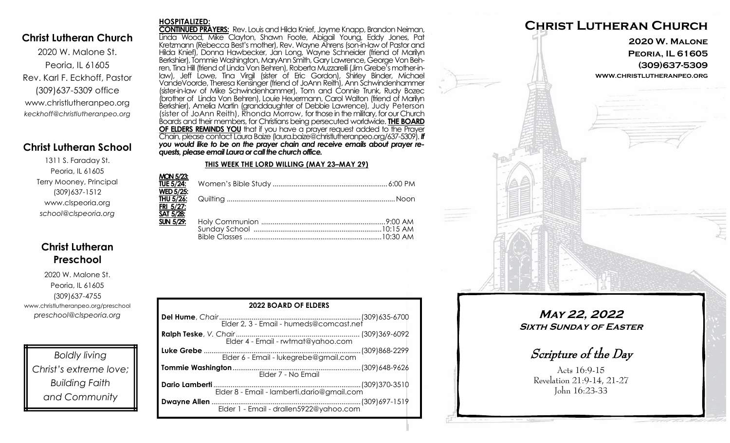### **Christ Lutheran Church**

2020 W. Malone St. Peoria, IL 61605 Rev. Karl F. Eckhoff, Pastor (309)637-5309 office www.christlutheranpeo.org *keckhoff@christlutheranpeo.org*

# **Christ Lutheran School**

1311 S. Faraday St. Peoria, IL 61605 Terry Mooney, Principal (309)637-1512 www.clspeoria.org *school@clspeoria.org*

# **Christ Lutheran Preschool**

2020 W. Malone St. Peoria, IL 61605 (309)637-4755 www.christlutheranpeo.org/preschool *preschool@clspeoria.org*

*Boldly living Christ's extreme love; Building Faith and Community*

#### **HOSPITALIZED:**

**CONTINUED PRAYERS:** Rev. Louis and Hilda Knief, Jayme Knapp, Brandon Neiman, Linda Wood, Mike Clayton, Shawn Foote, Abigail Young, Eddy Jones, Pat Kretzmann (Rebecca Best's mother), Rev. Wayne Ahrens (son-in-law of Pastor and Hilda Knief), Donna Hawbecker, Jan Long, Wayne Schneider (friend of Marilyn Berkshier), Tommie Washington, MaryAnn Smith, Gary Lawrence, George Von Behren, Tina Hill (friend of Linda Von Behren), Roberta Muzzarelli (Jim Grebe's mother-inlaw), Jeff Lowe, Tina Virgil (sister of Eric Gordon), Shirley Binder, Michael VandeVoorde, Theresa Kensinger (friend of JoAnn Reith), Ann Schwindenhammer (sister-in-law of Mike Schwindenhammer), Tom and Connie Trunk, Rudy Bozec (brother of Linda Von Behren), Louie Heuermann, Carol Walton (friend of Marilyn Berkshier), Amelia Martin (granddaughter of Debbie Lawrence), Judy Peterson (sister of JoAnn Reith), Rhonda Morrow, for those in the military, for our Church Boards and their members, for Christians being persecuted worldwide. **THE BOARD OF ELDERS REMINDS YOU** that if you have a prayer request added to the Prayer Chain, please contact Laura Baize (laura.baize@christlutheranpeo.org/637-5309). *If you would like to be on the prayer chain and receive emails about prayer requests, please email Laura or call the church office.*

#### **THIS WEEK THE LORD WILLING (MAY 23–MAY 29)**

| <b>MON 5/23:</b> |  |
|------------------|--|
| <b>WED 5/25:</b> |  |
| <b>FRI 5/27:</b> |  |
| SAT 5/28:        |  |
| $SUN 5/29$ :     |  |
|                  |  |

| <b>2022 BOARD OF ELDERS</b>                |  |
|--------------------------------------------|--|
|                                            |  |
|                                            |  |
|                                            |  |
| Elder 7 - No Email                         |  |
| Elder 8 - Email - lamberti.dario@gmail.com |  |
|                                            |  |



**May 22, 2022 Sixth Sunday of Easter**

Scripture of the Day

Acts 16:9-15 Revelation 21:9-14, 21-27 John 16:23-33